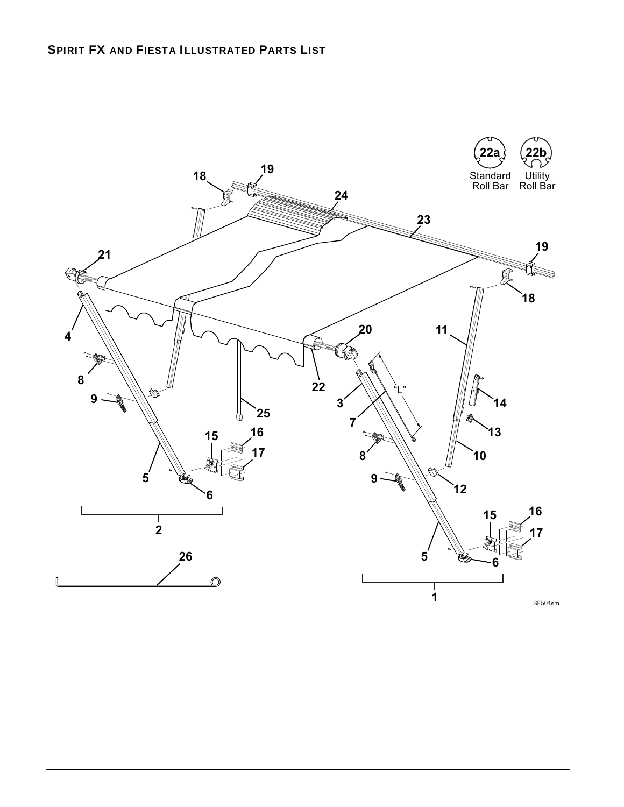